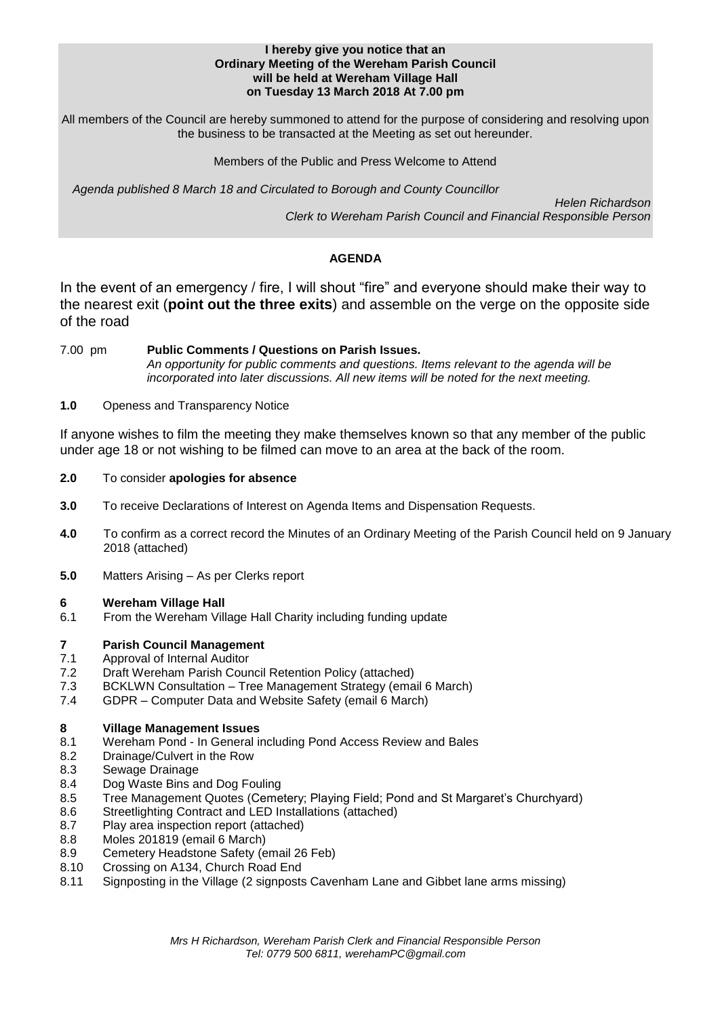#### **I hereby give you notice that an Ordinary Meeting of the Wereham Parish Council will be held at Wereham Village Hall on Tuesday 13 March 2018 At 7.00 pm**

All members of the Council are hereby summoned to attend for the purpose of considering and resolving upon the business to be transacted at the Meeting as set out hereunder.

Members of the Public and Press Welcome to Attend

*Agenda published 8 March 18 and Circulated to Borough and County Councillor* 

 *Helen Richardson Clerk to Wereham Parish Council and Financial Responsible Person*

## **AGENDA**

In the event of an emergency / fire, I will shout "fire" and everyone should make their way to the nearest exit (**point out the three exits**) and assemble on the verge on the opposite side of the road

7.00 pm **Public Comments / Questions on Parish Issues.** *An opportunity for public comments and questions. Items relevant to the agenda will be incorporated into later discussions. All new items will be noted for the next meeting.*

## **1.0** Openess and Transparency Notice

If anyone wishes to film the meeting they make themselves known so that any member of the public under age 18 or not wishing to be filmed can move to an area at the back of the room.

- **2.0** To consider **apologies for absence**
- **3.0** To receive Declarations of Interest on Agenda Items and Dispensation Requests.
- **4.0** To confirm as a correct record the Minutes of an Ordinary Meeting of the Parish Council held on 9 January 2018 (attached)
- **5.0** Matters Arising As per Clerks report

## **6 Wereham Village Hall**

6.1 From the Wereham Village Hall Charity including funding update

# **7 Parish Council Management**

- Approval of Internal Auditor
- 7.2 Draft Wereham Parish Council Retention Policy (attached)
- 7.3 BCKLWN Consultation Tree Management Strategy (email 6 March)
- 7.4 GDPR Computer Data and Website Safety (email 6 March)

## **8 Village Management Issues**

- 8.1 Wereham Pond In General including Pond Access Review and Bales
- 8.2 Drainage/Culvert in the Row
- 8.3 Sewage Drainage
- 8.4 Dog Waste Bins and Dog Fouling
- 8.5 Tree Management Quotes (Cemetery; Playing Field; Pond and St Margaret's Churchyard)
- 8.6 Streetlighting Contract and LED Installations (attached)
- 8.7 Play area inspection report (attached)
- 8.8 Moles 201819 (email 6 March)
- 8.9 Cemetery Headstone Safety (email 26 Feb)
- 8.10 Crossing on A134, Church Road End
- 8.11 Signposting in the Village (2 signposts Cavenham Lane and Gibbet lane arms missing)